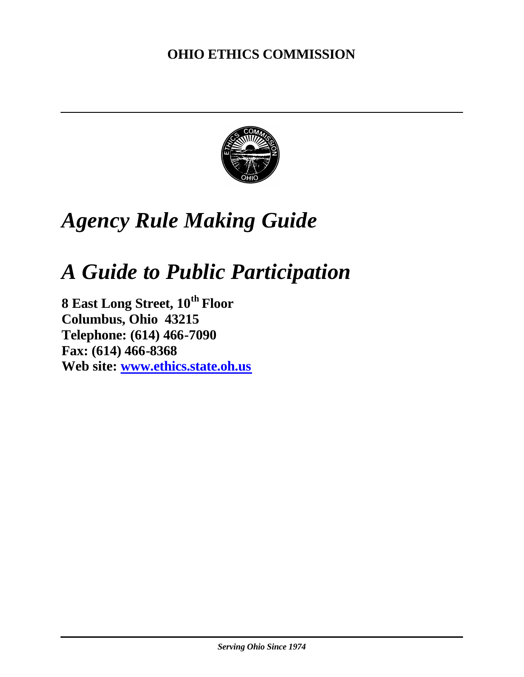# **OHIO ETHICS COMMISSION**



# *Agency Rule Making Guide*

# *A Guide to Public Participation*

**8 East Long Street, 10th Floor Columbus, Ohio 43215 Telephone: (614) 466-7090 Fax: (614) 466-8368 Web site: www.ethics.state.oh.us**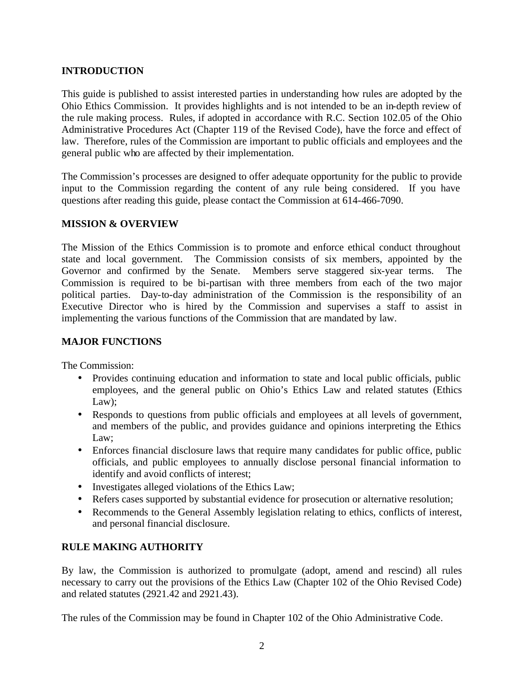# **INTRODUCTION**

This guide is published to assist interested parties in understanding how rules are adopted by the Ohio Ethics Commission. It provides highlights and is not intended to be an in-depth review of the rule making process. Rules, if adopted in accordance with R.C. Section 102.05 of the Ohio Administrative Procedures Act (Chapter 119 of the Revised Code), have the force and effect of law. Therefore, rules of the Commission are important to public officials and employees and the general public who are affected by their implementation.

The Commission's processes are designed to offer adequate opportunity for the public to provide input to the Commission regarding the content of any rule being considered. If you have questions after reading this guide, please contact the Commission at 614-466-7090.

### **MISSION & OVERVIEW**

The Mission of the Ethics Commission is to promote and enforce ethical conduct throughout state and local government. The Commission consists of six members, appointed by the Governor and confirmed by the Senate. Members serve staggered six-year terms. The Commission is required to be bi-partisan with three members from each of the two major political parties. Day-to-day administration of the Commission is the responsibility of an Executive Director who is hired by the Commission and supervises a staff to assist in implementing the various functions of the Commission that are mandated by law.

### **MAJOR FUNCTIONS**

The Commission:

- Provides continuing education and information to state and local public officials, public employees, and the general public on Ohio's Ethics Law and related statutes (Ethics Law);
- Responds to questions from public officials and employees at all levels of government, and members of the public, and provides guidance and opinions interpreting the Ethics Law;
- Enforces financial disclosure laws that require many candidates for public office, public officials, and public employees to annually disclose personal financial information to identify and avoid conflicts of interest;
- Investigates alleged violations of the Ethics Law;
- Refers cases supported by substantial evidence for prosecution or alternative resolution;
- Recommends to the General Assembly legislation relating to ethics, conflicts of interest, and personal financial disclosure.

## **RULE MAKING AUTHORITY**

By law, the Commission is authorized to promulgate (adopt, amend and rescind) all rules necessary to carry out the provisions of the Ethics Law (Chapter 102 of the Ohio Revised Code) and related statutes (2921.42 and 2921.43).

The rules of the Commission may be found in Chapter 102 of the Ohio Administrative Code.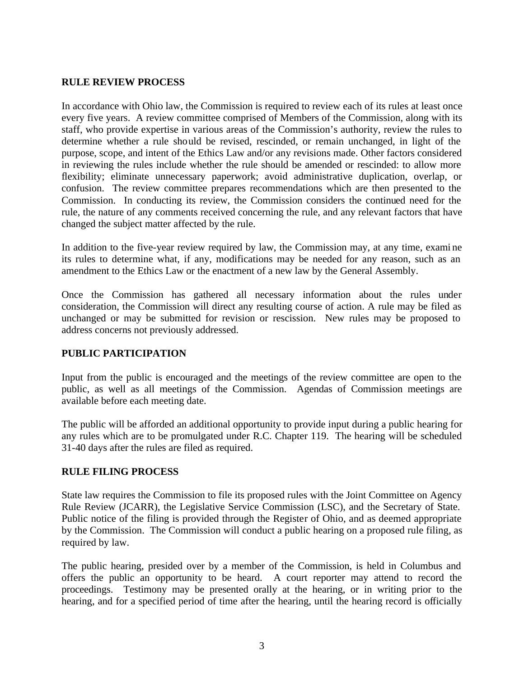#### **RULE REVIEW PROCESS**

In accordance with Ohio law, the Commission is required to review each of its rules at least once every five years. A review committee comprised of Members of the Commission, along with its staff, who provide expertise in various areas of the Commission's authority, review the rules to determine whether a rule should be revised, rescinded, or remain unchanged, in light of the purpose, scope, and intent of the Ethics Law and/or any revisions made. Other factors considered in reviewing the rules include whether the rule should be amended or rescinded: to allow more flexibility; eliminate unnecessary paperwork; avoid administrative duplication, overlap, or confusion. The review committee prepares recommendations which are then presented to the Commission. In conducting its review, the Commission considers the continued need for the rule, the nature of any comments received concerning the rule, and any relevant factors that have changed the subject matter affected by the rule.

In addition to the five-year review required by law, the Commission may, at any time, exami ne its rules to determine what, if any, modifications may be needed for any reason, such as an amendment to the Ethics Law or the enactment of a new law by the General Assembly.

Once the Commission has gathered all necessary information about the rules under consideration, the Commission will direct any resulting course of action. A rule may be filed as unchanged or may be submitted for revision or rescission. New rules may be proposed to address concerns not previously addressed.

#### **PUBLIC PARTICIPATION**

Input from the public is encouraged and the meetings of the review committee are open to the public, as well as all meetings of the Commission. Agendas of Commission meetings are available before each meeting date.

The public will be afforded an additional opportunity to provide input during a public hearing for any rules which are to be promulgated under R.C. Chapter 119. The hearing will be scheduled 31-40 days after the rules are filed as required.

#### **RULE FILING PROCESS**

State law requires the Commission to file its proposed rules with the Joint Committee on Agency Rule Review (JCARR), the Legislative Service Commission (LSC), and the Secretary of State. Public notice of the filing is provided through the Register of Ohio, and as deemed appropriate by the Commission. The Commission will conduct a public hearing on a proposed rule filing, as required by law.

The public hearing, presided over by a member of the Commission, is held in Columbus and offers the public an opportunity to be heard. A court reporter may attend to record the proceedings. Testimony may be presented orally at the hearing, or in writing prior to the hearing, and for a specified period of time after the hearing, until the hearing record is officially